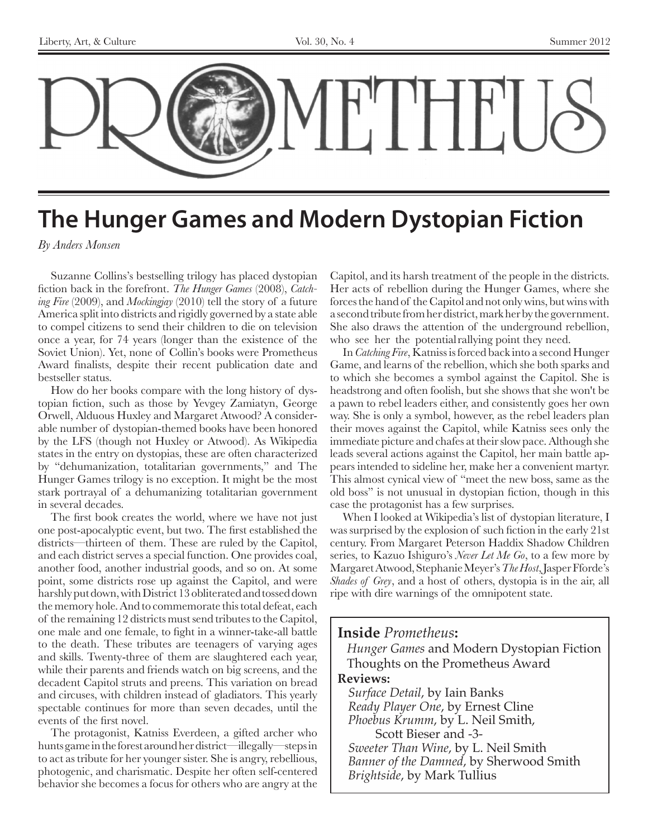

# **The Hunger Games and Modern Dystopian Fiction**

*By Anders Monsen*

Suzanne Collins's bestselling trilogy has placed dystopian fiction back in the forefront. *The Hunger Games* (2008), *Catching Fire* (2009), and *Mockingjay* (2010) tell the story of a future America split into districts and rigidly governed by a state able to compel citizens to send their children to die on television once a year, for 74 years (longer than the existence of the Soviet Union). Yet, none of Collin's books were Prometheus Award finalists, despite their recent publication date and bestseller status.

How do her books compare with the long history of dystopian fiction, such as those by Yevgey Zamiatyn, George Orwell, Alduous Huxley and Margaret Atwood? A considerable number of dystopian-themed books have been honored by the LFS (though not Huxley or Atwood). As Wikipedia states in the entry on dystopias, these are often characterized by "dehumanization, totalitarian governments," and The Hunger Games trilogy is no exception. It might be the most stark portrayal of a dehumanizing totalitarian government in several decades.

The first book creates the world, where we have not just one post-apocalyptic event, but two. The first established the districts—thirteen of them. These are ruled by the Capitol, and each district serves a special function. One provides coal, another food, another industrial goods, and so on. At some point, some districts rose up against the Capitol, and were harshly put down, with District 13 obliterated and tossed down the memory hole. And to commemorate this total defeat, each of the remaining 12 districts must send tributes to the Capitol, one male and one female, to fight in a winner-take-all battle to the death. These tributes are teenagers of varying ages and skills. Twenty-three of them are slaughtered each year, while their parents and friends watch on big screens, and the decadent Capitol struts and preens. This variation on bread and circuses, with children instead of gladiators. This yearly spectable continues for more than seven decades, until the events of the first novel.

The protagonist, Katniss Everdeen, a gifted archer who hunts game in the forest around her district—illegally—steps in to act as tribute for her younger sister. She is angry, rebellious, photogenic, and charismatic. Despite her often self-centered behavior she becomes a focus for others who are angry at the

Capitol, and its harsh treatment of the people in the districts. Her acts of rebellion during the Hunger Games, where she forces the hand of the Capitol and not only wins, but wins with a second tribute from her district, mark her by the government. She also draws the attention of the underground rebellion, who see her the potential rallying point they need.

In *Catching Fire*, Katniss is forced back into a second Hunger Game, and learns of the rebellion, which she both sparks and to which she becomes a symbol against the Capitol. She is headstrong and often foolish, but she shows that she won't be a pawn to rebel leaders either, and consistently goes her own way. She is only a symbol, however, as the rebel leaders plan their moves against the Capitol, while Katniss sees only the immediate picture and chafes at their slow pace. Although she leads several actions against the Capitol, her main battle appears intended to sideline her, make her a convenient martyr. This almost cynical view of "meet the new boss, same as the old boss" is not unusual in dystopian fiction, though in this case the protagonist has a few surprises.

When I looked at Wikipedia's list of dystopian literature, I was surprised by the explosion of such fiction in the early 21st century. From Margaret Peterson Haddix Shadow Children series, to Kazuo Ishiguro's *Never Let Me Go*, to a few more by Margaret Atwood, Stephanie Meyer's *The Host*, Jasper Fforde's *Shades of Grey*, and a host of others, dystopia is in the air, all ripe with dire warnings of the omnipotent state.

# **Inside** *Prometheus***:** *Hunger Games* and Modern Dystopian Fiction

Thoughts on the Prometheus Award

# **Reviews:**

*Surface Detail*, by Iain Banks *Ready Player One*, by Ernest Cline *Phoebus Krumm*, by L. Neil Smith, Scott Bieser and -3- *Sweeter Than Wine*, by L. Neil Smith *Banner of the Damned*, by Sherwood Smith *Brightside*, by Mark Tullius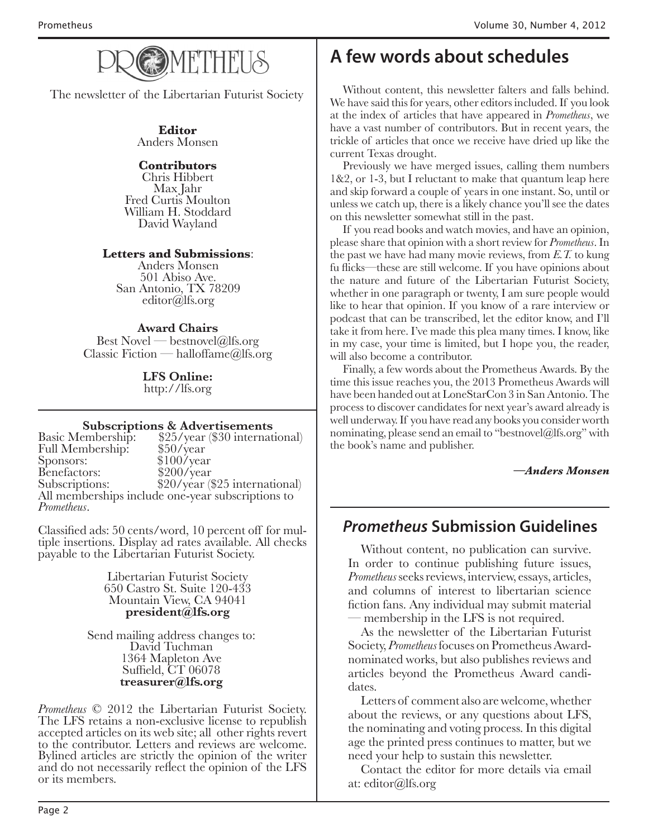

The newsletter of the Libertarian Futurist Society

**Editor** Anders Monsen

# **Contributors**

Chris Hibbert Fred Curtis Moulton William H. Stoddard David Wayland

# **Letters and Submissions**:

Anders Monsen 501 Abiso Ave. San Antonio, TX 78209 editor@lfs.org

# **Award Chairs**

Best Novel — bestnovel@lfs.org Classic Fiction — halloffame@lfs.org

> **LFS Online:** http://lfs.org

# **Subscriptions & Advertisements**

Basic Membership: \$25/year (\$30 international)<br>Full Membership: \$50/year Full Membership:<br>Sponsors: \$100/year<br>\$200/year Benefactors:<br>Subscriptions: \$20/year (\$25 international) All memberships include one-year subscriptions to *Prometheus*.

Classified ads: 50 cents/word, 10 percent off for mul- tiple insertions. Display ad rates available. All checks payable to the Libertarian Futurist Society.

> Libertarian Futurist Society 650 Castro St. Suite 120-433 Mountain View, CA 94041 **president@lfs.org**

Send mailing address changes to: David Tuchman 1364 Mapleton Ave Suffield, CT 06078 **treasurer@lfs.org**

*Prometheus* © 2012 the Libertarian Futurist Society.<br>The LFS retains a non-exclusive license to republish accepted articles on its web site; all other rights revert to the contributor. Letters and reviews are welcome. Bylined articles are strictly the opinion of the writer and do not necessarily reflect the opinion of the LFS or its members.

# **A few words about schedules**

Without content, this newsletter falters and falls behind. We have said this for years, other editors included. If you look at the index of articles that have appeared in *Prometheus*, we have a vast number of contributors. But in recent years, the trickle of articles that once we receive have dried up like the current Texas drought.

Previously we have merged issues, calling them numbers 1&2, or 1-3, but I reluctant to make that quantum leap here and skip forward a couple of years in one instant. So, until or unless we catch up, there is a likely chance you'll see the dates on this newsletter somewhat still in the past.

If you read books and watch movies, and have an opinion, please share that opinion with a short review for *Prometheus*. In the past we have had many movie reviews, from *E.T.* to kung fu flicks—these are still welcome. If you have opinions about the nature and future of the Libertarian Futurist Society, whether in one paragraph or twenty, I am sure people would like to hear that opinion. If you know of a rare interview or podcast that can be transcribed, let the editor know, and I'll take it from here. I've made this plea many times. I know, like in my case, your time is limited, but I hope you, the reader, will also become a contributor.

Finally, a few words about the Prometheus Awards. By the time this issue reaches you, the 2013 Prometheus Awards will have been handed out at LoneStarCon 3 in San Antonio. The process to discover candidates for next year's award already is well underway. If you have read any books you consider worth nominating, please send an email to "bestnovel@lfs.org" with the book's name and publisher.

*—Anders Monsen*

# **Prometheus Submission Guidelines**

Without content, no publication can survive. In order to continue publishing future issues, *Prometheus* seeks reviews, interview, essays, articles, and columns of interest to libertarian science fiction fans. Any individual may submit material — membership in the LFS is not required.

As the newsletter of the Libertarian Futurist Society, *Prometheus* focuses on Prometheus Awardnominated works, but also publishes reviews and articles beyond the Prometheus Award candidates.

Letters of comment also are welcome, whether about the reviews, or any questions about LFS, the nominating and voting process. In this digital age the printed press continues to matter, but we need your help to sustain this newsletter.

Contact the editor for more details via email at: editor@lfs.org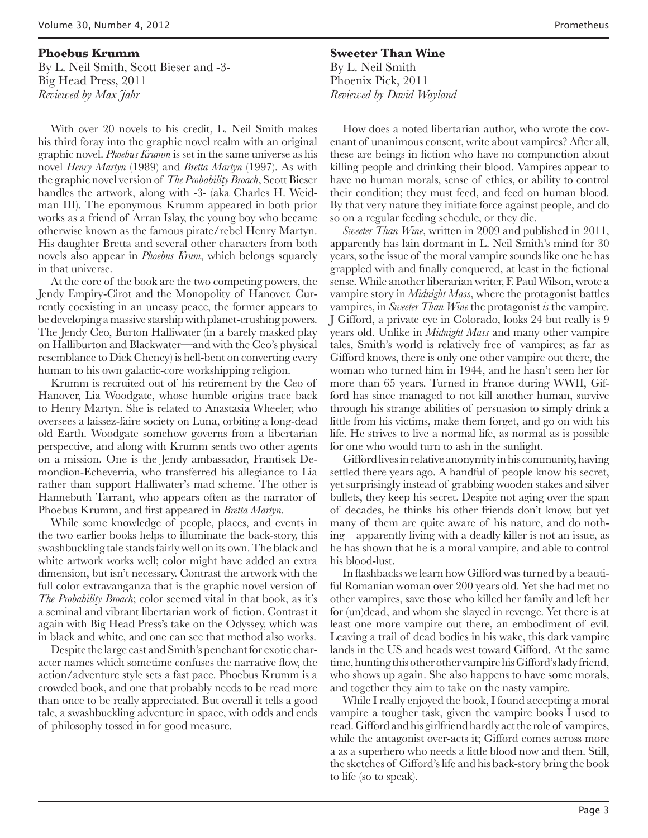**Phoebus Krumm** By L. Neil Smith, Scott Bieser and -3- Big Head Press, 2011 *Reviewed by Max Jahr*

With over 20 novels to his credit, L. Neil Smith makes his third foray into the graphic novel realm with an original graphic novel. *Phoebus Krumm* is set in the same universe as his novel *Henry Martyn* (1989) and *Bretta Martyn* (1997). As with the graphic novel version of *The Probability Broach*, Scott Bieser handles the artwork, along with -3- (aka Charles H. Weidman III). The eponymous Krumm appeared in both prior works as a friend of Arran Islay, the young boy who became otherwise known as the famous pirate/rebel Henry Martyn. His daughter Bretta and several other characters from both novels also appear in *Phoebus Krum*, which belongs squarely in that universe.

At the core of the book are the two competing powers, the Jendy Empiry-Cirot and the Monopolity of Hanover. Currently coexisting in an uneasy peace, the former appears to be developing a massive starship with planet-crushing powers. The Jendy Ceo, Burton Halliwater (in a barely masked play on Halliburton and Blackwater—and with the Ceo's physical resemblance to Dick Cheney) is hell-bent on converting every human to his own galactic-core workshipping religion.

Krumm is recruited out of his retirement by the Ceo of Hanover, Lia Woodgate, whose humble origins trace back to Henry Martyn. She is related to Anastasia Wheeler, who oversees a laissez-faire society on Luna, orbiting a long-dead old Earth. Woodgate somehow governs from a libertarian perspective, and along with Krumm sends two other agents on a mission. One is the Jendy ambassador, Frantisek Demondion-Echeverria, who transferred his allegiance to Lia rather than support Halliwater's mad scheme. The other is Hannebuth Tarrant, who appears often as the narrator of Phoebus Krumm, and first appeared in *Bretta Martyn*.

While some knowledge of people, places, and events in the two earlier books helps to illuminate the back-story, this swashbuckling tale stands fairly well on its own. The black and white artwork works well; color might have added an extra dimension, but isn't necessary. Contrast the artwork with the full color extravanganza that is the graphic novel version of *The Probability Broach*; color seemed vital in that book, as it's a seminal and vibrant libertarian work of fiction. Contrast it again with Big Head Press's take on the Odyssey, which was in black and white, and one can see that method also works.

Despite the large cast and Smith's penchant for exotic character names which sometime confuses the narrative flow, the action/adventure style sets a fast pace. Phoebus Krumm is a crowded book, and one that probably needs to be read more than once to be really appreciated. But overall it tells a good tale, a swashbuckling adventure in space, with odds and ends of philosophy tossed in for good measure.

**Sweeter Than Wine** By L. Neil Smith Phoenix Pick, 2011 *Reviewed by David Wayland*

How does a noted libertarian author, who wrote the covenant of unanimous consent, write about vampires? After all, these are beings in fiction who have no compunction about killing people and drinking their blood. Vampires appear to have no human morals, sense of ethics, or ability to control their condition; they must feed, and feed on human blood. By that very nature they initiate force against people, and do so on a regular feeding schedule, or they die.

*Sweeter Than Wine*, written in 2009 and published in 2011, apparently has lain dormant in L. Neil Smith's mind for 30 years, so the issue of the moral vampire sounds like one he has grappled with and finally conquered, at least in the fictional sense. While another liberarian writer, F. Paul Wilson, wrote a vampire story in *Midnight Mass*, where the protagonist battles vampires, in *Sweeter Than Wine* the protagonist *is* the vampire. J Gifford, a private eye in Colorado, looks 24 but really is 9 years old. Unlike in *Midnight Mass* and many other vampire tales, Smith's world is relatively free of vampires; as far as Gifford knows, there is only one other vampire out there, the woman who turned him in 1944, and he hasn't seen her for more than 65 years. Turned in France during WWII, Gifford has since managed to not kill another human, survive through his strange abilities of persuasion to simply drink a little from his victims, make them forget, and go on with his life. He strives to live a normal life, as normal as is possible for one who would turn to ash in the sunlight.

Gifford lives in relative anonymity in his community, having settled there years ago. A handful of people know his secret, yet surprisingly instead of grabbing wooden stakes and silver bullets, they keep his secret. Despite not aging over the span of decades, he thinks his other friends don't know, but yet many of them are quite aware of his nature, and do nothing—apparently living with a deadly killer is not an issue, as he has shown that he is a moral vampire, and able to control his blood-lust.

In flashbacks we learn how Gifford was turned by a beautiful Romanian woman over 200 years old. Yet she had met no other vampires, save those who killed her family and left her for (un)dead, and whom she slayed in revenge. Yet there is at least one more vampire out there, an embodiment of evil. Leaving a trail of dead bodies in his wake, this dark vampire lands in the US and heads west toward Gifford. At the same time, hunting this other other vampire his Gifford's lady friend, who shows up again. She also happens to have some morals, and together they aim to take on the nasty vampire.

While I really enjoyed the book, I found accepting a moral vampire a tougher task, given the vampire books I used to read. Gifford and his girlfriend hardly act the role of vampires, while the antagonist over-acts it; Gifford comes across more a as a superhero who needs a little blood now and then. Still, the sketches of Gifford's life and his back-story bring the book to life (so to speak).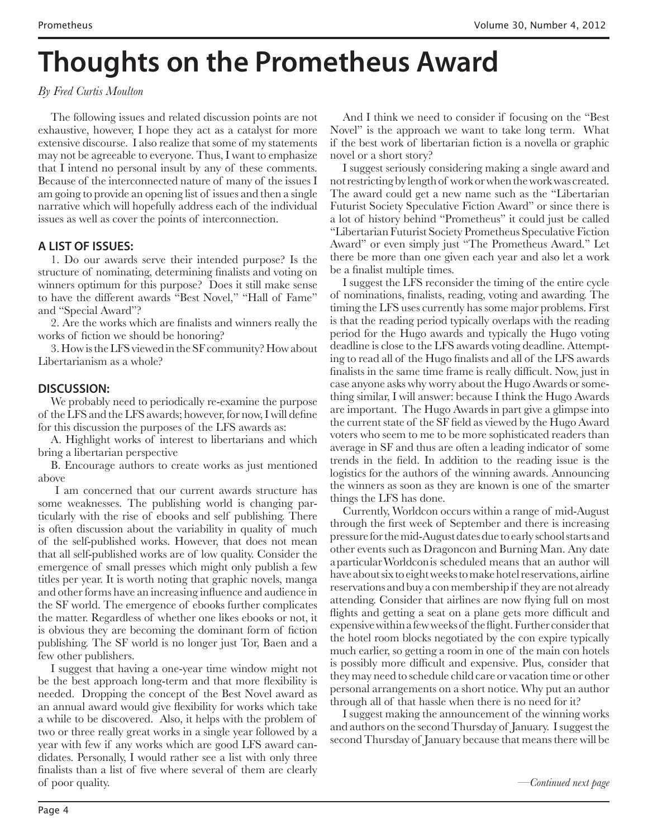# **Thoughts on the Prometheus Award**

# *By Fred Curtis Moulton*

The following issues and related discussion points are not exhaustive, however, I hope they act as a catalyst for more extensive discourse. I also realize that some of my statements may not be agreeable to everyone. Thus, I want to emphasize that I intend no personal insult by any of these comments. Because of the interconnected nature of many of the issues I am going to provide an opening list of issues and then a single narrative which will hopefully address each of the individual issues as well as cover the points of interconnection.

# **A LIST OF ISSUES:**

1. Do our awards serve their intended purpose? Is the structure of nominating, determining finalists and voting on winners optimum for this purpose? Does it still make sense to have the different awards "Best Novel," "Hall of Fame" and "Special Award"?

2. Are the works which are finalists and winners really the works of fiction we should be honoring?

3. How is the LFS viewed in the SF community? How about Libertarianism as a whole?

# **DISCUSSION:**

We probably need to periodically re-examine the purpose of the LFS and the LFS awards; however, for now, I will define for this discussion the purposes of the LFS awards as:

A. Highlight works of interest to libertarians and which bring a libertarian perspective

B. Encourage authors to create works as just mentioned above

 I am concerned that our current awards structure has some weaknesses. The publishing world is changing particularly with the rise of ebooks and self publishing. There is often discussion about the variability in quality of much of the self-published works. However, that does not mean that all self-published works are of low quality. Consider the emergence of small presses which might only publish a few titles per year. It is worth noting that graphic novels, manga and other forms have an increasing influence and audience in the SF world. The emergence of ebooks further complicates the matter. Regardless of whether one likes ebooks or not, it is obvious they are becoming the dominant form of fiction publishing. The SF world is no longer just Tor, Baen and a few other publishers.

I suggest that having a one-year time window might not be the best approach long-term and that more flexibility is needed. Dropping the concept of the Best Novel award as an annual award would give flexibility for works which take a while to be discovered. Also, it helps with the problem of two or three really great works in a single year followed by a year with few if any works which are good LFS award candidates. Personally, I would rather see a list with only three finalists than a list of five where several of them are clearly of poor quality.

And I think we need to consider if focusing on the "Best Novel" is the approach we want to take long term. What if the best work of libertarian fiction is a novella or graphic novel or a short story?

I suggest seriously considering making a single award and not restricting by length of work or when the work was created. The award could get a new name such as the "Libertarian Futurist Society Speculative Fiction Award" or since there is a lot of history behind "Prometheus" it could just be called "Libertarian Futurist Society Prometheus Speculative Fiction Award" or even simply just "The Prometheus Award." Let there be more than one given each year and also let a work be a finalist multiple times.

I suggest the LFS reconsider the timing of the entire cycle of nominations, finalists, reading, voting and awarding. The timing the LFS uses currently has some major problems. First is that the reading period typically overlaps with the reading period for the Hugo awards and typically the Hugo voting deadline is close to the LFS awards voting deadline. Attempting to read all of the Hugo finalists and all of the LFS awards finalists in the same time frame is really difficult. Now, just in case anyone asks why worry about the Hugo Awards or something similar, I will answer: because I think the Hugo Awards are important. The Hugo Awards in part give a glimpse into the current state of the SF field as viewed by the Hugo Award voters who seem to me to be more sophisticated readers than average in SF and thus are often a leading indicator of some trends in the field. In addition to the reading issue is the logistics for the authors of the winning awards. Announcing the winners as soon as they are known is one of the smarter things the LFS has done.

Currently, Worldcon occurs within a range of mid-August through the first week of September and there is increasing pressure for the mid-August dates due to early school starts and other events such as Dragoncon and Burning Man. Any date a particular Worldcon is scheduled means that an author will have about six to eight weeks to make hotel reservations, airline reservations and buy a con membership if they are not already attending. Consider that airlines are now flying full on most flights and getting a seat on a plane gets more difficult and expensive within a few weeks of the flight. Further consider that the hotel room blocks negotiated by the con expire typically much earlier, so getting a room in one of the main con hotels is possibly more difficult and expensive. Plus, consider that they may need to schedule child care or vacation time or other personal arrangements on a short notice. Why put an author through all of that hassle when there is no need for it?

I suggest making the announcement of the winning works and authors on the second Thursday of January. I suggest the second Thursday of January because that means there will be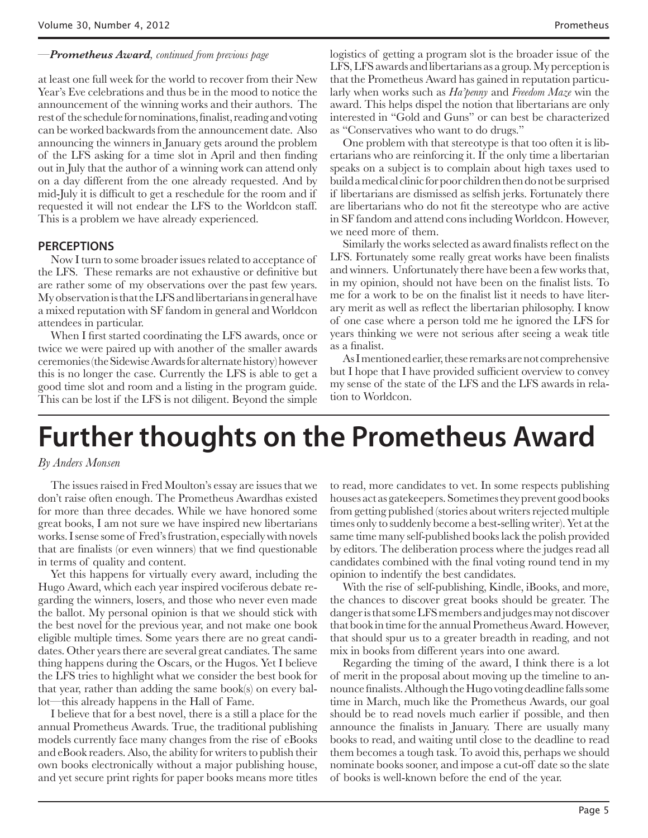### *—Prometheus Award, continued from previous page*

at least one full week for the world to recover from their New Year's Eve celebrations and thus be in the mood to notice the announcement of the winning works and their authors. The rest of the schedule for nominations, finalist, reading and voting can be worked backwards from the announcement date. Also announcing the winners in January gets around the problem of the LFS asking for a time slot in April and then finding out in July that the author of a winning work can attend only on a day different from the one already requested. And by mid-July it is difficult to get a reschedule for the room and if requested it will not endear the LFS to the Worldcon staff. This is a problem we have already experienced.

## **PERCEPTIONS**

Now I turn to some broader issues related to acceptance of the LFS. These remarks are not exhaustive or definitive but are rather some of my observations over the past few years. My observation is that the LFS and libertarians in general have a mixed reputation with SF fandom in general and Worldcon attendees in particular.

When I first started coordinating the LFS awards, once or twice we were paired up with another of the smaller awards ceremonies (the Sidewise Awards for alternate history) however this is no longer the case. Currently the LFS is able to get a good time slot and room and a listing in the program guide. This can be lost if the LFS is not diligent. Beyond the simple

logistics of getting a program slot is the broader issue of the LFS, LFS awards and libertarians as a group. My perception is that the Prometheus Award has gained in reputation particularly when works such as *Ha'penny* and *Freedom Maze* win the award. This helps dispel the notion that libertarians are only interested in "Gold and Guns" or can best be characterized as "Conservatives who want to do drugs."

One problem with that stereotype is that too often it is libertarians who are reinforcing it. If the only time a libertarian speaks on a subject is to complain about high taxes used to build a medical clinic for poor children then do not be surprised if libertarians are dismissed as selfish jerks. Fortunately there are libertarians who do not fit the stereotype who are active in SF fandom and attend cons including Worldcon. However, we need more of them.

Similarly the works selected as award finalists reflect on the LFS. Fortunately some really great works have been finalists and winners. Unfortunately there have been a few works that, in my opinion, should not have been on the finalist lists. To me for a work to be on the finalist list it needs to have literary merit as well as reflect the libertarian philosophy. I know of one case where a person told me he ignored the LFS for years thinking we were not serious after seeing a weak title as a finalist.

As I mentioned earlier, these remarks are not comprehensive but I hope that I have provided sufficient overview to convey my sense of the state of the LFS and the LFS awards in relation to Worldcon.

# **Further thoughts on the Prometheus Award**

#### *By Anders Monsen*

The issues raised in Fred Moulton's essay are issues that we don't raise often enough. The Prometheus Awardhas existed for more than three decades. While we have honored some great books, I am not sure we have inspired new libertarians works. I sense some of Fred's frustration, especially with novels that are finalists (or even winners) that we find questionable in terms of quality and content.

Yet this happens for virtually every award, including the Hugo Award, which each year inspired vociferous debate regarding the winners, losers, and those who never even made the ballot. My personal opinion is that we should stick with the best novel for the previous year, and not make one book eligible multiple times. Some years there are no great candidates. Other years there are several great candiates. The same thing happens during the Oscars, or the Hugos. Yet I believe the LFS tries to highlight what we consider the best book for that year, rather than adding the same book(s) on every ballot—this already happens in the Hall of Fame.

I believe that for a best novel, there is a still a place for the annual Prometheus Awards. True, the traditional publishing models currently face many changes from the rise of eBooks and eBook readers. Also, the ability for writers to publish their own books electronically without a major publishing house, and yet secure print rights for paper books means more titles

to read, more candidates to vet. In some respects publishing houses act as gatekeepers. Sometimes they prevent good books from getting published (stories about writers rejected multiple times only to suddenly become a best-selling writer). Yet at the same time many self-published books lack the polish provided by editors. The deliberation process where the judges read all candidates combined with the final voting round tend in my opinion to indentify the best candidates.

With the rise of self-publishing, Kindle, iBooks, and more, the chances to discover great books should be greater. The danger is that some LFS members and judges may not discover that book in time for the annual Prometheus Award. However, that should spur us to a greater breadth in reading, and not mix in books from different years into one award.

Regarding the timing of the award, I think there is a lot of merit in the proposal about moving up the timeline to announce finalists. Although the Hugo voting deadline falls some time in March, much like the Prometheus Awards, our goal should be to read novels much earlier if possible, and then announce the finalists in January. There are usually many books to read, and waiting until close to the deadline to read them becomes a tough task. To avoid this, perhaps we should nominate books sooner, and impose a cut-off date so the slate of books is well-known before the end of the year.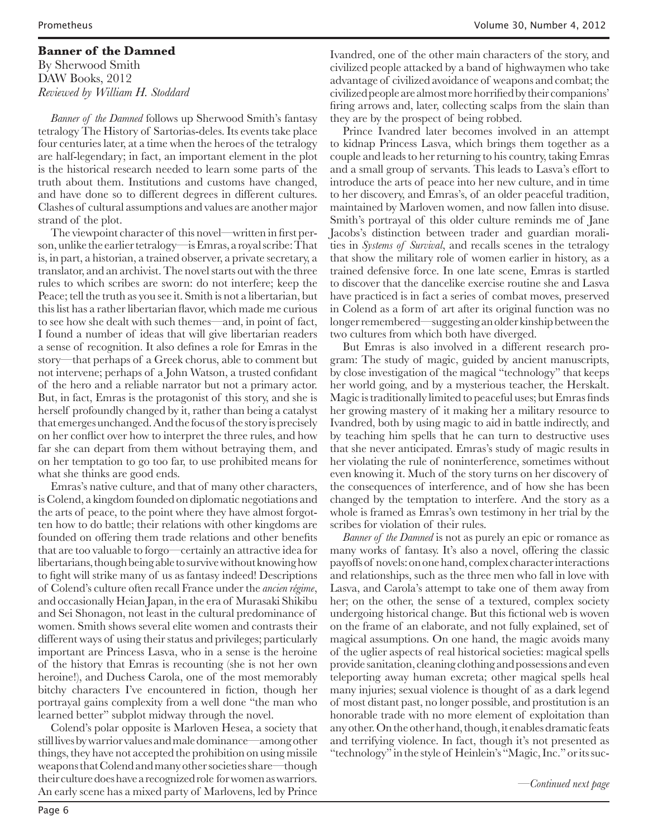## **Banner of the Damned**

By Sherwood Smith DAW Books, 2012 *Reviewed by William H. Stoddard*

*Banner of the Damned* follows up Sherwood Smith's fantasy tetralogy The History of Sartorias-deles. Its events take place four centuries later, at a time when the heroes of the tetralogy are half-legendary; in fact, an important element in the plot is the historical research needed to learn some parts of the truth about them. Institutions and customs have changed, and have done so to different degrees in different cultures. Clashes of cultural assumptions and values are another major strand of the plot.

The viewpoint character of this novel—written in first person, unlike the earlier tetralogy—is Emras, a royal scribe: That is, in part, a historian, a trained observer, a private secretary, a translator, and an archivist. The novel starts out with the three rules to which scribes are sworn: do not interfere; keep the Peace; tell the truth as you see it. Smith is not a libertarian, but this list has a rather libertarian flavor, which made me curious to see how she dealt with such themes—and, in point of fact, I found a number of ideas that will give libertarian readers a sense of recognition. It also defines a role for Emras in the story—that perhaps of a Greek chorus, able to comment but not intervene; perhaps of a John Watson, a trusted confidant of the hero and a reliable narrator but not a primary actor. But, in fact, Emras is the protagonist of this story, and she is herself profoundly changed by it, rather than being a catalyst that emerges unchanged. And the focus of the story is precisely on her conflict over how to interpret the three rules, and how far she can depart from them without betraying them, and on her temptation to go too far, to use prohibited means for what she thinks are good ends.

Emras's native culture, and that of many other characters, is Colend, a kingdom founded on diplomatic negotiations and the arts of peace, to the point where they have almost forgotten how to do battle; their relations with other kingdoms are founded on offering them trade relations and other benefits that are too valuable to forgo—certainly an attractive idea for libertarians, though being able to survive without knowing how to fight will strike many of us as fantasy indeed! Descriptions of Colend's culture often recall France under the *ancien régime*, and occasionally Heian Japan, in the era of Murasaki Shikibu and Sei Shonagon, not least in the cultural predominance of women. Smith shows several elite women and contrasts their different ways of using their status and privileges; particularly important are Princess Lasva, who in a sense is the heroine of the history that Emras is recounting (she is not her own heroine!), and Duchess Carola, one of the most memorably bitchy characters I've encountered in fiction, though her portrayal gains complexity from a well done "the man who learned better" subplot midway through the novel.

Colend's polar opposite is Marloven Hesea, a society that still lives by warrior values and male dominance—among other things, they have not accepted the prohibition on using missile weapons that Colend and many other societies share—though their culture does have a recognized role for women as warriors. An early scene has a mixed party of Marlovens, led by Prince

Ivandred, one of the other main characters of the story, and civilized people attacked by a band of highwaymen who take advantage of civilized avoidance of weapons and combat; the civilized people are almost more horrified by their companions' firing arrows and, later, collecting scalps from the slain than they are by the prospect of being robbed.

Prince Ivandred later becomes involved in an attempt to kidnap Princess Lasva, which brings them together as a couple and leads to her returning to his country, taking Emras and a small group of servants. This leads to Lasva's effort to introduce the arts of peace into her new culture, and in time to her discovery, and Emras's, of an older peaceful tradition, maintained by Marloven women, and now fallen into disuse. Smith's portrayal of this older culture reminds me of Jane Jacobs's distinction between trader and guardian moralities in *Systems of Survival*, and recalls scenes in the tetralogy that show the military role of women earlier in history, as a trained defensive force. In one late scene, Emras is startled to discover that the dancelike exercise routine she and Lasva have practiced is in fact a series of combat moves, preserved in Colend as a form of art after its original function was no longer remembered—suggesting an older kinship between the two cultures from which both have diverged.

But Emras is also involved in a different research program: The study of magic, guided by ancient manuscripts, by close investigation of the magical "technology" that keeps her world going, and by a mysterious teacher, the Herskalt. Magic is traditionally limited to peaceful uses; but Emras finds her growing mastery of it making her a military resource to Ivandred, both by using magic to aid in battle indirectly, and by teaching him spells that he can turn to destructive uses that she never anticipated. Emras's study of magic results in her violating the rule of noninterference, sometimes without even knowing it. Much of the story turns on her discovery of the consequences of interference, and of how she has been changed by the temptation to interfere. And the story as a whole is framed as Emras's own testimony in her trial by the scribes for violation of their rules.

*Banner of the Damned* is not as purely an epic or romance as many works of fantasy. It's also a novel, offering the classic payoffs of novels: on one hand, complex character interactions and relationships, such as the three men who fall in love with Lasva, and Carola's attempt to take one of them away from her; on the other, the sense of a textured, complex society undergoing historical change. But this fictional web is woven on the frame of an elaborate, and not fully explained, set of magical assumptions. On one hand, the magic avoids many of the uglier aspects of real historical societies: magical spells provide sanitation, cleaning clothing and possessions and even teleporting away human excreta; other magical spells heal many injuries; sexual violence is thought of as a dark legend of most distant past, no longer possible, and prostitution is an honorable trade with no more element of exploitation than any other. On the other hand, though, it enables dramatic feats and terrifying violence. In fact, though it's not presented as "technology" in the style of Heinlein's "Magic, Inc." or its suc-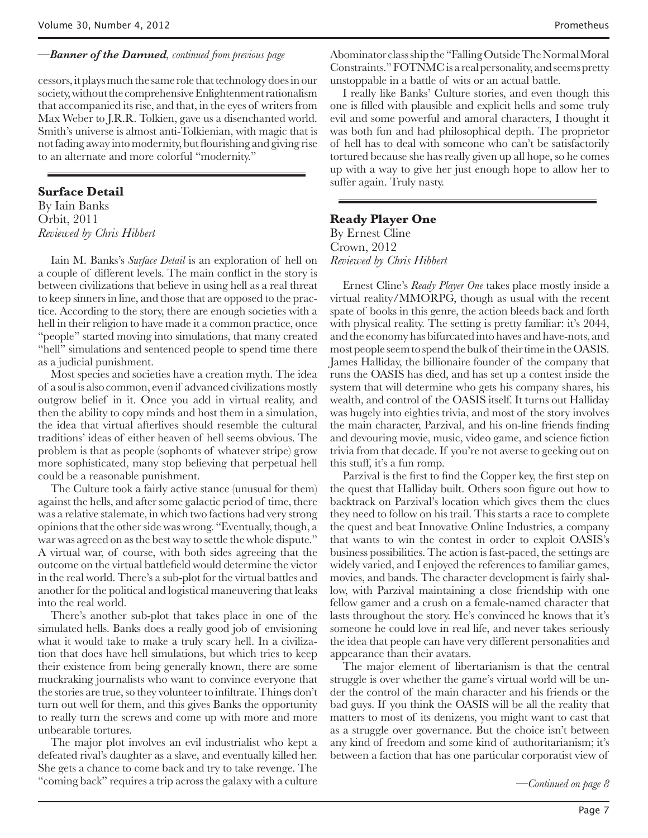## *—Banner of the Damned, continued from previous page*

cessors, it plays much the same role that technology does in our society, without the comprehensive Enlightenment rationalism that accompanied its rise, and that, in the eyes of writers from Max Weber to J.R.R. Tolkien, gave us a disenchanted world. Smith's universe is almost anti-Tolkienian, with magic that is not fading away into modernity, but flourishing and giving rise to an alternate and more colorful "modernity."

# **Surface Detail**

By Iain Banks Orbit, 2011 *Reviewed by Chris Hibbert*

Iain M. Banks's *Surface Detail* is an exploration of hell on a couple of different levels. The main conflict in the story is between civilizations that believe in using hell as a real threat to keep sinners in line, and those that are opposed to the practice. According to the story, there are enough societies with a hell in their religion to have made it a common practice, once "people" started moving into simulations, that many created "hell" simulations and sentenced people to spend time there as a judicial punishment.

Most species and societies have a creation myth. The idea of a soul is also common, even if advanced civilizations mostly outgrow belief in it. Once you add in virtual reality, and then the ability to copy minds and host them in a simulation, the idea that virtual afterlives should resemble the cultural traditions' ideas of either heaven of hell seems obvious. The problem is that as people (sophonts of whatever stripe) grow more sophisticated, many stop believing that perpetual hell could be a reasonable punishment.

The Culture took a fairly active stance (unusual for them) against the hells, and after some galactic period of time, there was a relative stalemate, in which two factions had very strong opinions that the other side was wrong. "Eventually, though, a war was agreed on as the best way to settle the whole dispute." A virtual war, of course, with both sides agreeing that the outcome on the virtual battlefield would determine the victor in the real world. There's a sub-plot for the virtual battles and another for the political and logistical maneuvering that leaks into the real world.

There's another sub-plot that takes place in one of the simulated hells. Banks does a really good job of envisioning what it would take to make a truly scary hell. In a civilization that does have hell simulations, but which tries to keep their existence from being generally known, there are some muckraking journalists who want to convince everyone that the stories are true, so they volunteer to infiltrate. Things don't turn out well for them, and this gives Banks the opportunity to really turn the screws and come up with more and more unbearable tortures.

The major plot involves an evil industrialist who kept a defeated rival's daughter as a slave, and eventually killed her. She gets a chance to come back and try to take revenge. The "coming back" requires a trip across the galaxy with a culture

Abominator class ship the "Falling Outside The Normal Moral Constraints." FOTNMC is a real personality, and seems pretty unstoppable in a battle of wits or an actual battle.

I really like Banks' Culture stories, and even though this one is filled with plausible and explicit hells and some truly evil and some powerful and amoral characters, I thought it was both fun and had philosophical depth. The proprietor of hell has to deal with someone who can't be satisfactorily tortured because she has really given up all hope, so he comes up with a way to give her just enough hope to allow her to suffer again. Truly nasty.

# **Ready Player One** By Ernest Cline Crown, 2012 *Reviewed by Chris Hibbert*

Ernest Cline's *Ready Player One* takes place mostly inside a virtual reality/MMORPG, though as usual with the recent spate of books in this genre, the action bleeds back and forth with physical reality. The setting is pretty familiar: it's 2044, and the economy has bifurcated into haves and have-nots, and most people seem to spend the bulk of their time in the OASIS. James Halliday, the billionaire founder of the company that runs the OASIS has died, and has set up a contest inside the system that will determine who gets his company shares, his wealth, and control of the OASIS itself. It turns out Halliday was hugely into eighties trivia, and most of the story involves the main character, Parzival, and his on-line friends finding and devouring movie, music, video game, and science fiction trivia from that decade. If you're not averse to geeking out on this stuff, it's a fun romp.

Parzival is the first to find the Copper key, the first step on the quest that Halliday built. Others soon figure out how to backtrack on Parzival's location which gives them the clues they need to follow on his trail. This starts a race to complete the quest and beat Innovative Online Industries, a company that wants to win the contest in order to exploit OASIS's business possibilities. The action is fast-paced, the settings are widely varied, and I enjoyed the references to familiar games, movies, and bands. The character development is fairly shallow, with Parzival maintaining a close friendship with one fellow gamer and a crush on a female-named character that lasts throughout the story. He's convinced he knows that it's someone he could love in real life, and never takes seriously the idea that people can have very different personalities and appearance than their avatars.

The major element of libertarianism is that the central struggle is over whether the game's virtual world will be under the control of the main character and his friends or the bad guys. If you think the OASIS will be all the reality that matters to most of its denizens, you might want to cast that as a struggle over governance. But the choice isn't between any kind of freedom and some kind of authoritarianism; it's between a faction that has one particular corporatist view of

*—Continued on page 8*